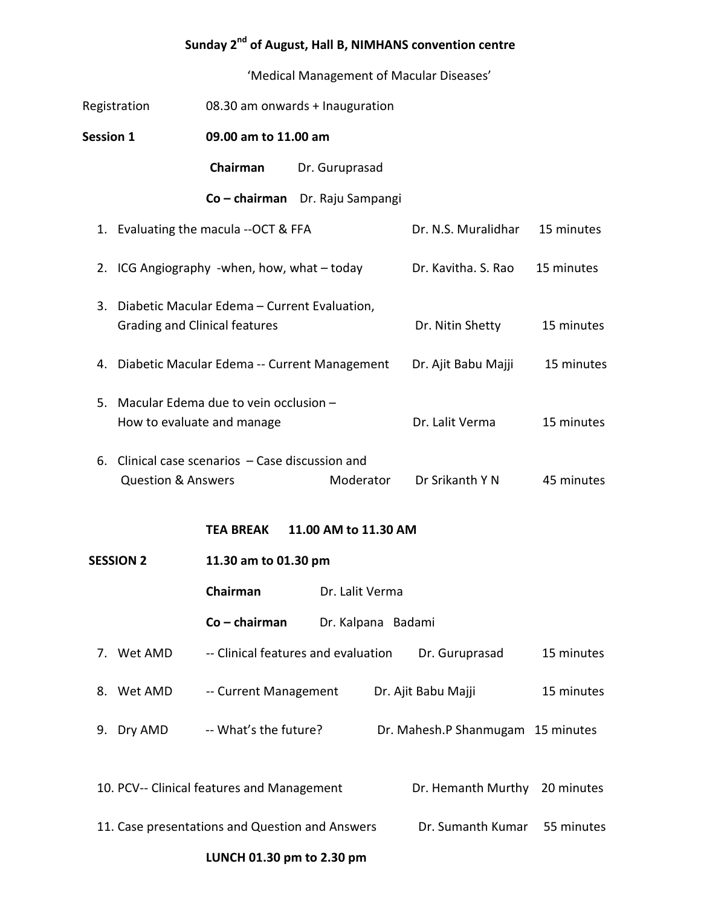## Sunday 2<sup>nd</sup> of August, Hall B, NIMHANS convention centre

'Medical Management of Macular Diseases'

| Registration                                    |                                              | 08.30 am onwards + Inauguration                  |                              |                                   |            |  |  |  |  |
|-------------------------------------------------|----------------------------------------------|--------------------------------------------------|------------------------------|-----------------------------------|------------|--|--|--|--|
| <b>Session 1</b>                                |                                              | 09.00 am to 11.00 am                             |                              |                                   |            |  |  |  |  |
|                                                 |                                              | Chairman                                         | Dr. Guruprasad               |                                   |            |  |  |  |  |
|                                                 |                                              | Co - chairman Dr. Raju Sampangi                  |                              |                                   |            |  |  |  |  |
|                                                 |                                              | 1. Evaluating the macula --OCT & FFA             |                              | Dr. N.S. Muralidhar               | 15 minutes |  |  |  |  |
| 2.                                              |                                              | ICG Angiography -when, how, what – today         |                              | Dr. Kavitha. S. Rao               | 15 minutes |  |  |  |  |
| 3.                                              | <b>Grading and Clinical features</b>         | Diabetic Macular Edema - Current Evaluation,     | Dr. Nitin Shetty             | 15 minutes                        |            |  |  |  |  |
| 4.                                              | Diabetic Macular Edema -- Current Management |                                                  |                              | Dr. Ajit Babu Majji               | 15 minutes |  |  |  |  |
| 5.                                              | How to evaluate and manage                   | Macular Edema due to vein occlusion -            | Dr. Lalit Verma              | 15 minutes                        |            |  |  |  |  |
|                                                 | <b>Question &amp; Answers</b>                | 6. Clinical case scenarios - Case discussion and | Dr Srikanth Y N<br>Moderator | 45 minutes                        |            |  |  |  |  |
| 11.00 AM to 11.30 AM<br>TEA BREAK               |                                              |                                                  |                              |                                   |            |  |  |  |  |
| <b>SESSION 2</b>                                |                                              | 11.30 am to 01.30 pm                             |                              |                                   |            |  |  |  |  |
|                                                 |                                              | Chairman<br>Dr. Lalit Verma                      |                              |                                   |            |  |  |  |  |
|                                                 | $Co - chairman$<br>Dr. Kalpana Badami        |                                                  |                              |                                   |            |  |  |  |  |
|                                                 | 7. Wet AMD                                   | -- Clinical features and evaluation              |                              | Dr. Guruprasad                    | 15 minutes |  |  |  |  |
| 8.                                              | Wet AMD                                      | -- Current Management                            |                              | Dr. Ajit Babu Majji               | 15 minutes |  |  |  |  |
| 9.                                              | Dry AMD                                      | -- What's the future?                            |                              | Dr. Mahesh.P Shanmugam 15 minutes |            |  |  |  |  |
| 10. PCV-- Clinical features and Management      |                                              |                                                  | Dr. Hemanth Murthy           | 20 minutes                        |            |  |  |  |  |
| 11. Case presentations and Question and Answers |                                              |                                                  |                              | Dr. Sumanth Kumar                 | 55 minutes |  |  |  |  |
| LUNCH 01.30 pm to 2.30 pm                       |                                              |                                                  |                              |                                   |            |  |  |  |  |